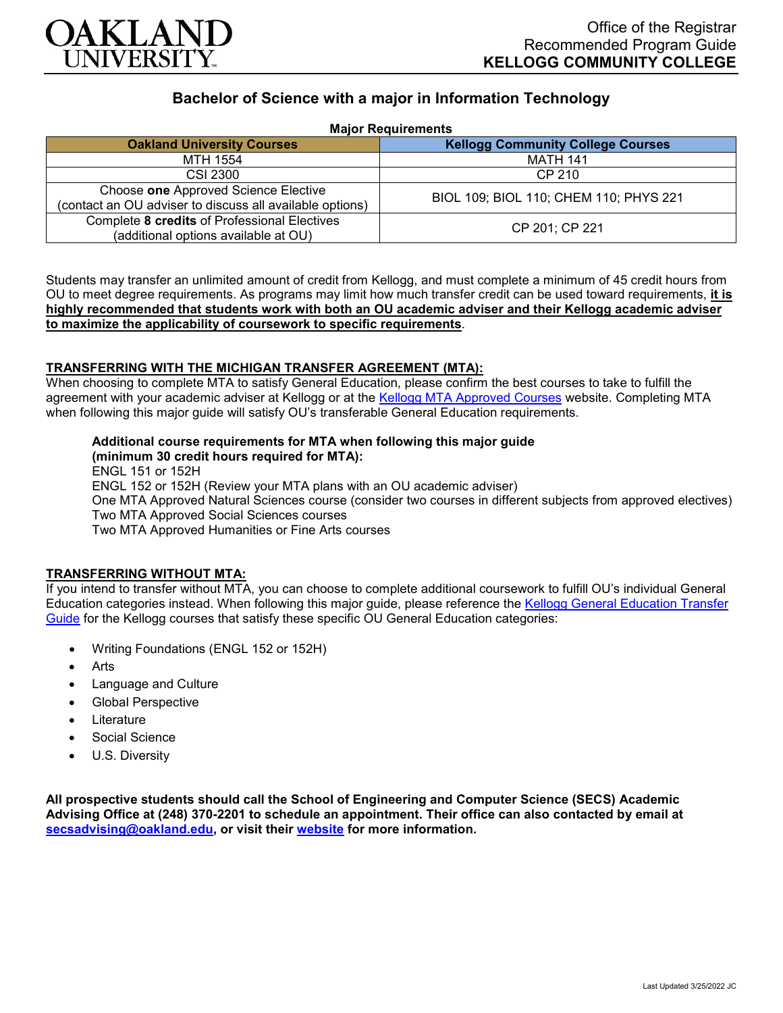

# **Bachelor of Science with a major in Information Technology**

**Major Requirements**

| <b>HULL-REGULIERING</b>                                                                          |                                          |
|--------------------------------------------------------------------------------------------------|------------------------------------------|
| <b>Oakland University Courses</b>                                                                | <b>Kellogg Community College Courses</b> |
| MTH 1554                                                                                         | <b>MATH 141</b>                          |
| CSI 2300                                                                                         | CP 210                                   |
| Choose one Approved Science Elective<br>(contact an OU adviser to discuss all available options) | BIOL 109; BIOL 110; CHEM 110; PHYS 221   |
| Complete 8 credits of Professional Electives<br>(additional options available at OU)             | CP 201; CP 221                           |

Students may transfer an unlimited amount of credit from Kellogg, and must complete a minimum of 45 credit hours from OU to meet degree requirements. As programs may limit how much transfer credit can be used toward requirements, **it is highly recommended that students work with both an OU academic adviser and their Kellogg academic adviser to maximize the applicability of coursework to specific requirements**.

#### **TRANSFERRING WITH THE MICHIGAN TRANSFER AGREEMENT (MTA):**

When choosing to complete MTA to satisfy General Education, please confirm the best courses to take to fulfill the agreement with your academic adviser at Kellogg or at the [Kellogg MTA Approved Courses](http://catalog.kellogg.edu/content.php?catoid=18&navoid=790#michigan-transfer-agreement) website. Completing MTA when following this major guide will satisfy OU's transferable General Education requirements.

## **Additional course requirements for MTA when following this major guide**

**(minimum 30 credit hours required for MTA):** ENGL 151 or 152H ENGL 152 or 152H (Review your MTA plans with an OU academic adviser) One MTA Approved Natural Sciences course (consider two courses in different subjects from approved electives) Two MTA Approved Social Sciences courses Two MTA Approved Humanities or Fine Arts courses

### **TRANSFERRING WITHOUT MTA:**

If you intend to transfer without MTA, you can choose to complete additional coursework to fulfill OU's individual General Education categories instead. When following this major guide, please reference the [Kellogg General Education Transfer](https://www.oakland.edu/Assets/Oakland/program-guides/kellogg-community-college/university-general-education-requirements/Kellogg%20Gen%20Ed.pdf)  [Guide](https://www.oakland.edu/Assets/Oakland/program-guides/kellogg-community-college/university-general-education-requirements/Kellogg%20Gen%20Ed.pdf) for the Kellogg courses that satisfy these specific OU General Education categories:

- Writing Foundations (ENGL 152 or 152H)
- Arts
- Language and Culture
- Global Perspective
- **Literature**
- Social Science
- U.S. Diversity

**All prospective students should call the School of Engineering and Computer Science (SECS) Academic Advising Office at (248) 370-2201 to schedule an appointment. Their office can also contacted by email at [secsadvising@oakland.edu,](mailto:secsadvising@oakland.edu) or visit their [website](https://wwwp.oakland.edu/secs/advising/) for more information.**